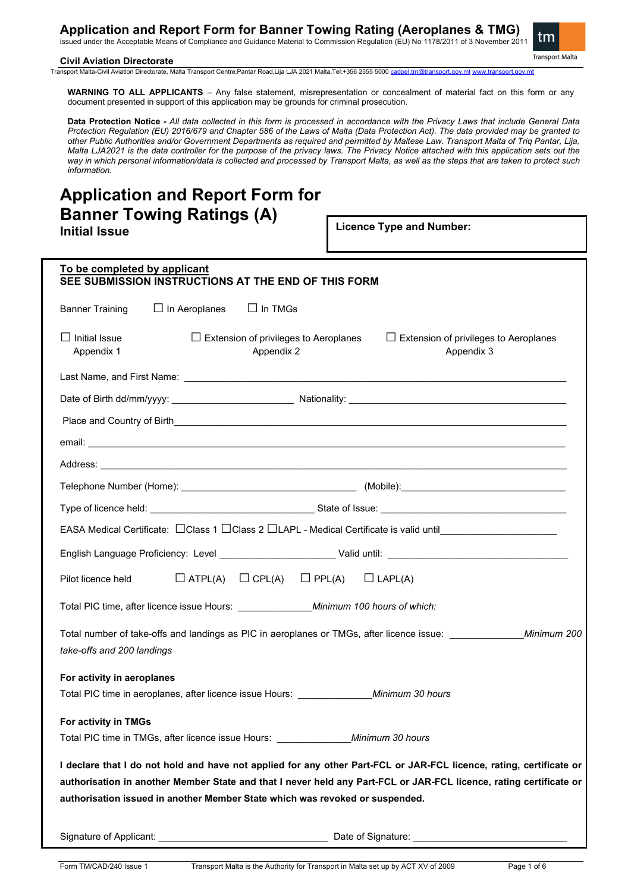issued under the Acceptable Means of Compliance and Guidance Material to Commission Regulation (EU) No 1178/2011 of 3 November 2011



**Civil Aviation Directorate** 

Transport Malta-Civil Aviation Directorate, Malta Transport Centre,Pantar Road,Lija LJA 2021 Malta.Tel:+356 2555 5000 [cadpel.tm@transport.gov.mt](mailto:cadpel.tm@transport.gov.mt) [www.transport.gov.mt](http://www.transport.gov.mt/)

**WARNING TO ALL APPLICANTS** – Any false statement, misrepresentation or concealment of material fact on this form or any document presented in support of this application may be grounds for criminal prosecution.

**Data Protection Notice -** *All data collected in this form is processed in accordance with the Privacy Laws that include General Data Protection Regulation (EU) 2016/679 and Chapter 586 of the Laws of Malta (Data Protection Act). The data provided may be granted to other Public Authorities and/or Government Departments as required and permitted by Maltese Law. Transport Malta of Triq Pantar, Lija, Malta LJA2021 is the data controller for the purpose of the privacy laws. The Privacy Notice attached with this application sets out the way in which personal information/data is collected and processed by Transport Malta, as well as the steps that are taken to protect such information.*

# **Application and Report Form for Banner Towing Ratings (A) Initial Issue**

**Licence Type and Number:** 

| To be completed by applicant<br>SEE SUBMISSION INSTRUCTIONS AT THE END OF THIS FORM                                                                                                                                                                                                                                       |  |  |  |
|---------------------------------------------------------------------------------------------------------------------------------------------------------------------------------------------------------------------------------------------------------------------------------------------------------------------------|--|--|--|
| $\Box$ In Aeroplanes<br>$\Box$ In TMGs<br><b>Banner Training</b>                                                                                                                                                                                                                                                          |  |  |  |
| $\Box$ Initial Issue<br>$\Box$ Extension of privileges to Aeroplanes<br>$\Box$ Extension of privileges to Aeroplanes<br>Appendix 1<br>Appendix 2<br>Appendix 3                                                                                                                                                            |  |  |  |
|                                                                                                                                                                                                                                                                                                                           |  |  |  |
|                                                                                                                                                                                                                                                                                                                           |  |  |  |
|                                                                                                                                                                                                                                                                                                                           |  |  |  |
|                                                                                                                                                                                                                                                                                                                           |  |  |  |
|                                                                                                                                                                                                                                                                                                                           |  |  |  |
|                                                                                                                                                                                                                                                                                                                           |  |  |  |
|                                                                                                                                                                                                                                                                                                                           |  |  |  |
| EASA Medical Certificate: □ Class 1 □ Class 2 □ LAPL - Medical Certificate is valid until_____________________                                                                                                                                                                                                            |  |  |  |
|                                                                                                                                                                                                                                                                                                                           |  |  |  |
| $\Box$ ATPL(A) $\Box$ CPL(A)<br>Pilot licence held<br>$\Box$ PPL(A) $\Box$ LAPL(A)                                                                                                                                                                                                                                        |  |  |  |
|                                                                                                                                                                                                                                                                                                                           |  |  |  |
| Total number of take-offs and landings as PIC in aeroplanes or TMGs, after licence issue:<br>Minimum 200<br>take-offs and 200 landings                                                                                                                                                                                    |  |  |  |
| For activity in aeroplanes<br>Total PIC time in aeroplanes, after licence issue Hours: ________________Minimum 30 hours                                                                                                                                                                                                   |  |  |  |
| For activity in TMGs                                                                                                                                                                                                                                                                                                      |  |  |  |
| I declare that I do not hold and have not applied for any other Part-FCL or JAR-FCL licence, rating, certificate or<br>authorisation in another Member State and that I never held any Part-FCL or JAR-FCL licence, rating certificate or<br>authorisation issued in another Member State which was revoked or suspended. |  |  |  |
|                                                                                                                                                                                                                                                                                                                           |  |  |  |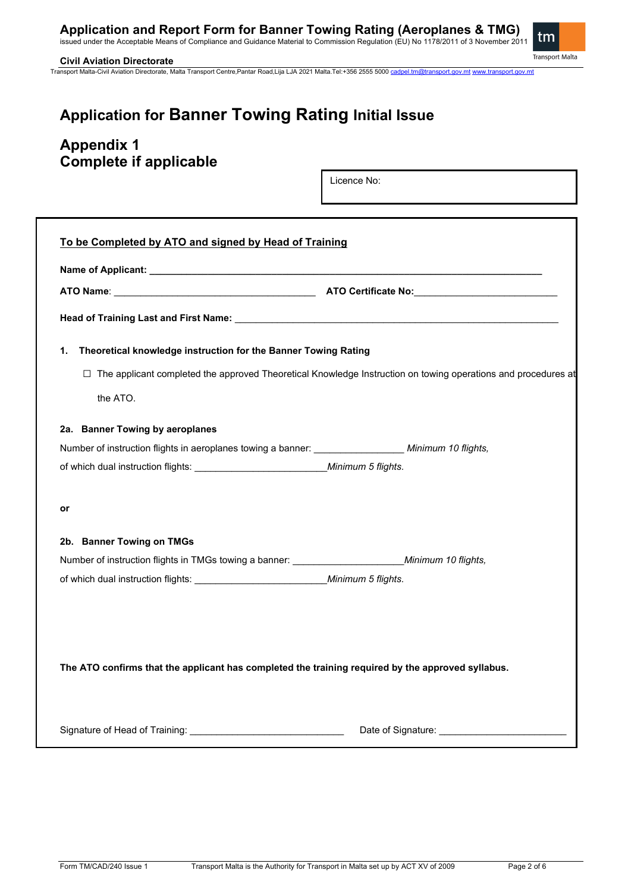issued under the Acceptable Means of Compliance and Guidance Material to Commission Regulation (EU) No 1178/2011 of 3 November 2011

# tm Transport Malta

**Civil Aviation Directorate**  Transport Malta-Civil Aviation Directorate, Malta Transport Centre,Pantar Road,Lija LJA 2021 Malta.Tel:+356 2555 5000 [cadpel.tm@transport.gov.mt](mailto:cadpel.tm@transport.gov.mt) [www.transport.gov.mt](http://www.transport.gov.mt/)

# **Application for Banner Towing Rating Initial Issue**

# **Appendix 1 Complete if applicable**

Licence No:

| ATO Name: <b>ATO Name:</b> ATO Certificate No:                                                        |                                                                                                                      |  |  |  |
|-------------------------------------------------------------------------------------------------------|----------------------------------------------------------------------------------------------------------------------|--|--|--|
|                                                                                                       |                                                                                                                      |  |  |  |
| Theoretical knowledge instruction for the Banner Towing Rating<br>1.                                  |                                                                                                                      |  |  |  |
|                                                                                                       | $\Box$ The applicant completed the approved Theoretical Knowledge Instruction on towing operations and procedures at |  |  |  |
| the ATO.                                                                                              |                                                                                                                      |  |  |  |
| 2a. Banner Towing by aeroplanes                                                                       |                                                                                                                      |  |  |  |
|                                                                                                       |                                                                                                                      |  |  |  |
|                                                                                                       |                                                                                                                      |  |  |  |
| or                                                                                                    |                                                                                                                      |  |  |  |
| 2b. Banner Towing on TMGs                                                                             |                                                                                                                      |  |  |  |
| Number of instruction flights in TMGs towing a banner: __________________________ Minimum 10 flights, |                                                                                                                      |  |  |  |
|                                                                                                       |                                                                                                                      |  |  |  |
|                                                                                                       |                                                                                                                      |  |  |  |
|                                                                                                       |                                                                                                                      |  |  |  |
| The ATO confirms that the applicant has completed the training required by the approved syllabus.     |                                                                                                                      |  |  |  |
|                                                                                                       |                                                                                                                      |  |  |  |
|                                                                                                       |                                                                                                                      |  |  |  |
|                                                                                                       |                                                                                                                      |  |  |  |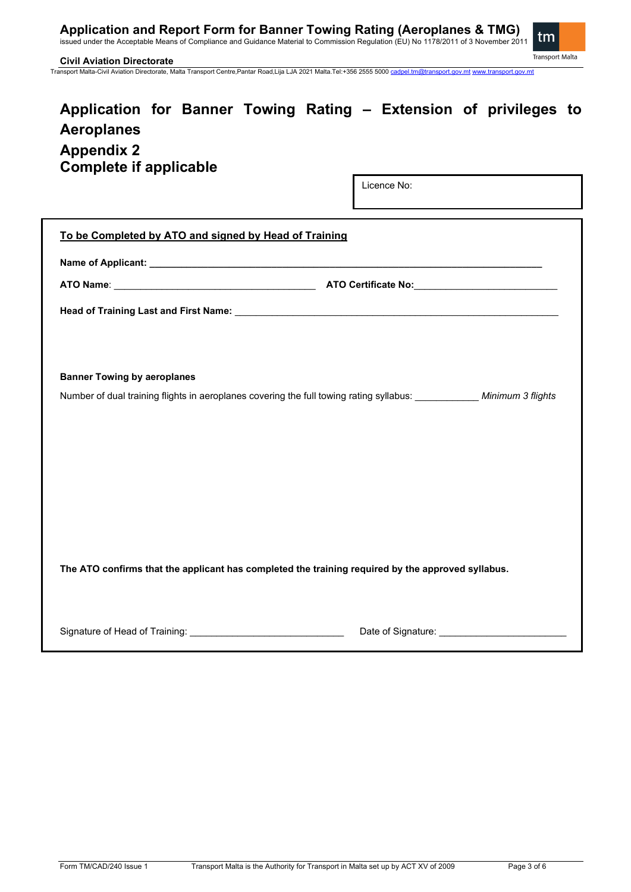issued under the Acceptable Means of Compliance and Guidance Material to Commission Regulation (EU) No 1178/2011 of 3 November 2011



**Civil Aviation Directorate** 

Transport Malta-Civil Aviation Directorate, Malta Transport Centre,Pantar Road,Lija LJA 2021 Malta.Tel:+356 2555 5000 [cadpel.tm@transport.gov.mt](mailto:cadpel.tm@transport.gov.mt) [www.transport.gov.mt](http://www.transport.gov.mt/)

# **Application for Banner Towing Rating – Extension of privileges to Aeroplanes Appendix 2 Complete if applicable**

Licence No:

| To be Completed by ATO and signed by Head of Training                                                          |                                      |  |  |  |
|----------------------------------------------------------------------------------------------------------------|--------------------------------------|--|--|--|
|                                                                                                                |                                      |  |  |  |
|                                                                                                                |                                      |  |  |  |
| Head of Training Last and First Name: Name: New York: Name: Name: Name: Name: Name: Name: Name: Name: Name: Na |                                      |  |  |  |
|                                                                                                                |                                      |  |  |  |
|                                                                                                                |                                      |  |  |  |
| <b>Banner Towing by aeroplanes</b>                                                                             |                                      |  |  |  |
|                                                                                                                |                                      |  |  |  |
|                                                                                                                |                                      |  |  |  |
|                                                                                                                |                                      |  |  |  |
|                                                                                                                |                                      |  |  |  |
|                                                                                                                |                                      |  |  |  |
|                                                                                                                |                                      |  |  |  |
|                                                                                                                |                                      |  |  |  |
|                                                                                                                |                                      |  |  |  |
| The ATO confirms that the applicant has completed the training required by the approved syllabus.              |                                      |  |  |  |
|                                                                                                                |                                      |  |  |  |
|                                                                                                                |                                      |  |  |  |
|                                                                                                                | Date of Signature: <b>Example 20</b> |  |  |  |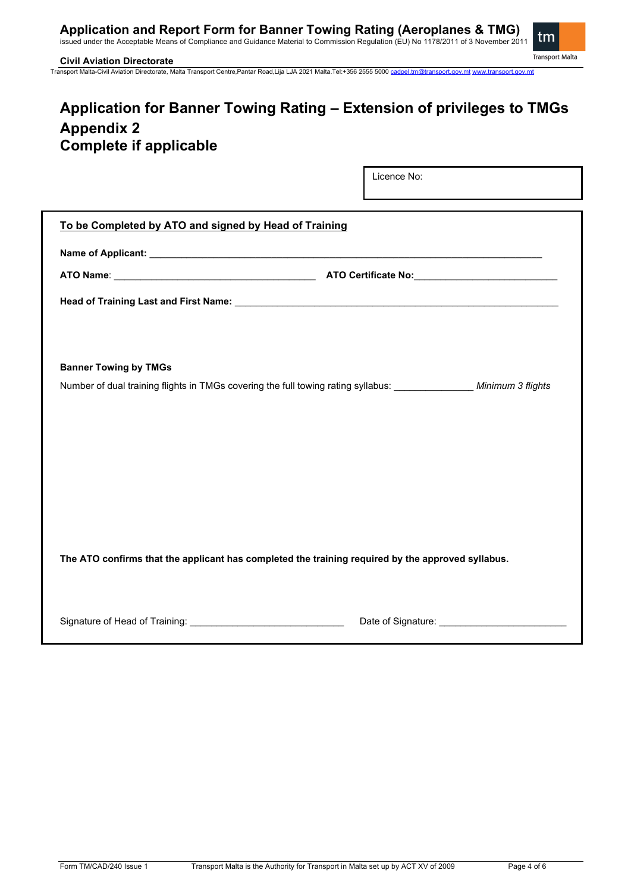issued under the Acceptable Means of Compliance and Guidance Material to Commission Regulation (EU) No 1178/2011 of 3 November 2011



**Civil Aviation Directorate** 

Transport Malta-Civil Aviation Directorate, Malta Transport Centre,Pantar Road,Lija LJA 2021 Malta.Tel:+356 2555 5000 [cadpel.tm@transport.gov.mt](mailto:cadpel.tm@transport.gov.mt) [www.transport.gov.mt](http://www.transport.gov.mt/)

# **Application for Banner Towing Rating – Extension of privileges to TMGs Appendix 2 Complete if applicable**

Licence No:

| To be Completed by ATO and signed by Head of Training                                             |  |  |  |
|---------------------------------------------------------------------------------------------------|--|--|--|
|                                                                                                   |  |  |  |
|                                                                                                   |  |  |  |
|                                                                                                   |  |  |  |
|                                                                                                   |  |  |  |
|                                                                                                   |  |  |  |
| <b>Banner Towing by TMGs</b>                                                                      |  |  |  |
|                                                                                                   |  |  |  |
|                                                                                                   |  |  |  |
|                                                                                                   |  |  |  |
|                                                                                                   |  |  |  |
|                                                                                                   |  |  |  |
|                                                                                                   |  |  |  |
|                                                                                                   |  |  |  |
|                                                                                                   |  |  |  |
| The ATO confirms that the applicant has completed the training required by the approved syllabus. |  |  |  |
|                                                                                                   |  |  |  |
|                                                                                                   |  |  |  |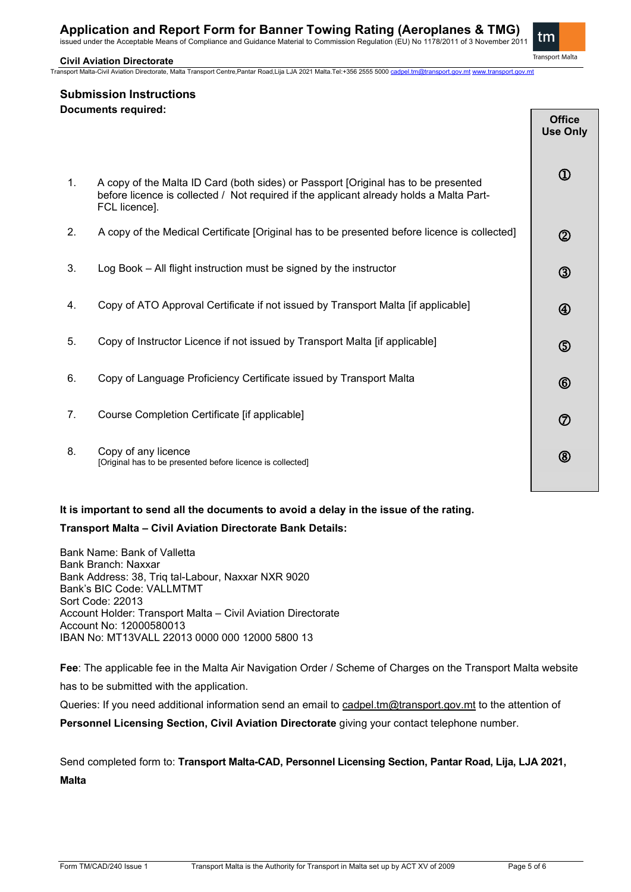issued under the Acceptable Means of Compliance and Guidance Material to Commission Regulation (EU) No 1178/2011 of 3 November 2011

### **Civil Aviation Directorate**

Transport Malta-Civil Aviation Directorate, Malta Transport Centre,Pantar Road,Lija LJA 2021 Malta.Tel:+356 2555 5000 [cadpel.tm@transport.gov.mt](mailto:cadpel.tm@transport.gov.mt) [www.transport.gov.mt](http://www.transport.gov.mt/)



**Submission Instructions Documents required:**

|                                                                                                                                                                                                | <b>Office</b><br><b>Use Only</b> |
|------------------------------------------------------------------------------------------------------------------------------------------------------------------------------------------------|----------------------------------|
| A copy of the Malta ID Card (both sides) or Passport [Original has to be presented<br>before licence is collected / Not required if the applicant already holds a Malta Part-<br>FCL licence]. | $^{\circledR}$                   |
| A copy of the Medical Certificate [Original has to be presented before licence is collected]                                                                                                   | $^\copyright$                    |
| Log Book - All flight instruction must be signed by the instructor                                                                                                                             | $^\circledR$                     |
| Copy of ATO Approval Certificate if not issued by Transport Malta [if applicable]                                                                                                              | $\bigcircledA$                   |
| Copy of Instructor Licence if not issued by Transport Malta [if applicable]                                                                                                                    | $\circledS$                      |
| Copy of Language Proficiency Certificate issued by Transport Malta                                                                                                                             | $^{\circledR}$                   |
| Course Completion Certificate [if applicable]                                                                                                                                                  | $^\circledR$                     |
| Copy of any licence<br>[Original has to be presented before licence is collected]                                                                                                              | $^\circledR$                     |
|                                                                                                                                                                                                |                                  |

### **It is important to send all the documents to avoid a delay in the issue of the rating. Transport Malta – Civil Aviation Directorate Bank Details:**

Bank Name: Bank of Valletta Bank Branch: Naxxar Bank Address: 38, Triq tal-Labour, Naxxar NXR 9020 Bank's BIC Code: VALLMTMT Sort Code: 22013 Account Holder: Transport Malta – Civil Aviation Directorate Account No: 12000580013 IBAN No: MT13VALL 22013 0000 000 12000 5800 13

**Fee**: The applicable fee in the Malta Air Navigation Order / Scheme of Charges on the Transport Malta website has to be submitted with the application.

Queries: If you need additional information send an email to [cadpel.tm@transport.gov.mt](mailto:cadpel.tm@transport.gov.mt) to the attention of **Personnel Licensing Section, Civil Aviation Directorate** giving your contact telephone number.

Send completed form to: **Transport Malta-CAD, Personnel Licensing Section, Pantar Road, Lija, LJA 2021, Malta**